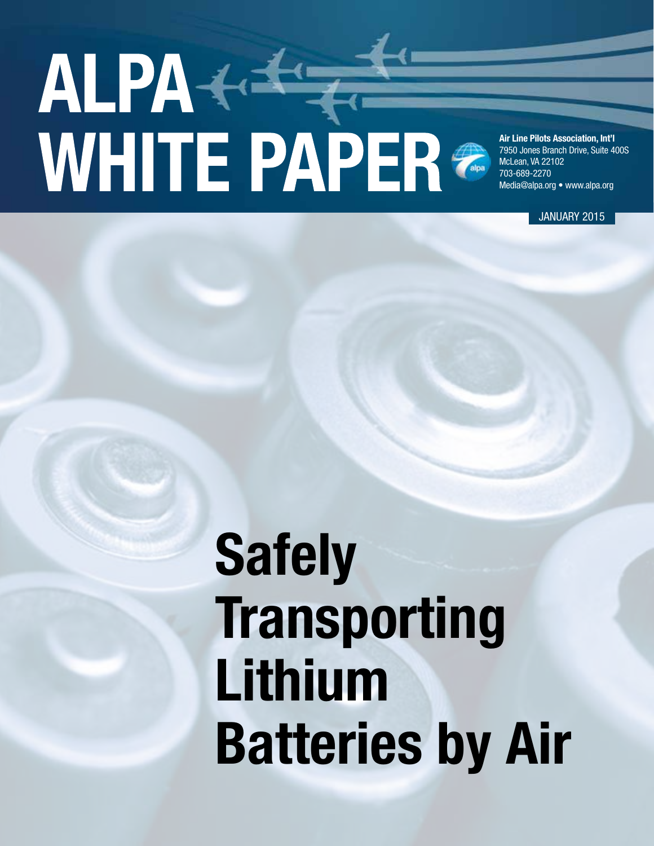# 

Air Line Pilots Association, Int'l 7950 Jones Branch Drive, Suite 400S McLean, VA 22102 703-689-2270 Media@alpa.org • www.alpa.org

JANUARY 2015

## Safely **Transporting** Lithium Batteries by Air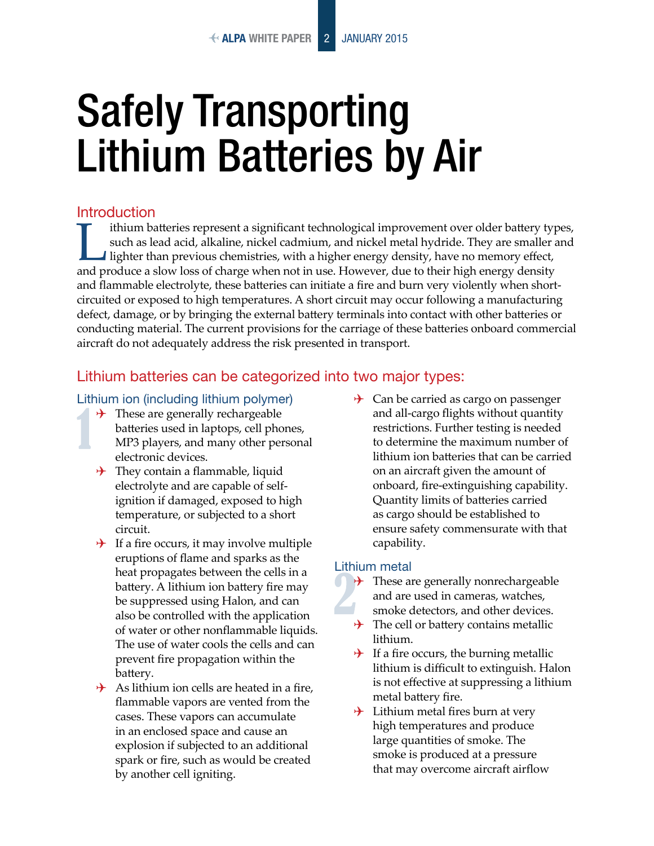### Safely Transporting Lithium Batteries by Air

#### Introduction

ithium batteries represent a significant technological improvement over older battery types, such as lead acid, alkaline, nickel cadmium, and nickel metal hydride. They are smaller and lighter than previous chemistries, with a higher energy density, have no memory effect, and produce a slow loss of charge when not in use. However, due to their high energy density and flammable electrolyte, these batteries can initiate a fire and burn very violently when shortcircuited or exposed to high temperatures. A short circuit may occur following a manufacturing defect, damage, or by bringing the external battery terminals into contact with other batteries or conducting material. The current provisions for the carriage of these batteries onboard commercial aircraft do not adequately address the risk presented in transport.

#### Lithium batteries can be categorized into two major types:

#### Lithium ion (including lithium polymer)

- $\rightarrow$  These are generally rechargeable batteries used in laptops, cell phones, MP3 players, and many other personal electronic devices.
- $\rightarrow$  They contain a flammable, liquid electrolyte and are capable of selfignition if damaged, exposed to high temperature, or subjected to a short circuit.
- $\rightarrow$  If a fire occurs, it may involve multiple eruptions of flame and sparks as the heat propagates between the cells in a battery. A lithium ion battery fire may be suppressed using Halon, and can also be controlled with the application of water or other nonflammable liquids. The use of water cools the cells and can prevent fire propagation within the battery.
- $\rightarrow$  As lithium ion cells are heated in a fire, flammable vapors are vented from the cases. These vapors can accumulate in an enclosed space and cause an explosion if subjected to an additional spark or fire, such as would be created by another cell igniting.

 $\rightarrow$  Can be carried as cargo on passenger and all-cargo flights without quantity restrictions. Further testing is needed to determine the maximum number of lithium ion batteries that can be carried on an aircraft given the amount of onboard, fire-extinguishing capability. Quantity limits of batteries carried as cargo should be established to ensure safety commensurate with that capability.

#### Lithium metal

- $\rightarrow$  These are generally nonrechargeable and are used in cameras, watches, smoke detectors, and other devices.
- $\rightarrow$  The cell or battery contains metallic lithium.
- $\rightarrow$  If a fire occurs, the burning metallic lithium is difficult to extinguish. Halon is not effective at suppressing a lithium metal battery fire.
- $\rightarrow$  Lithium metal fires burn at very high temperatures and produce large quantities of smoke. The smoke is produced at a pressure that may overcome aircraft airflow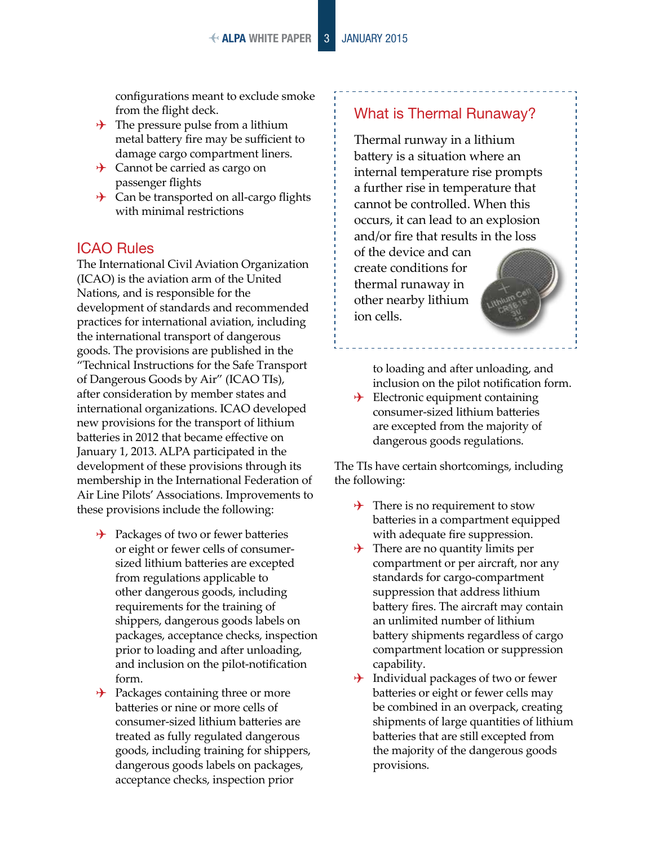- $\rightarrow$  The pressure pulse from a lithium metal battery fire may be sufficient to damage cargo compartment liners.
- $\rightarrow$  Cannot be carried as cargo on passenger flights
- $\rightarrow$  Can be transported on all-cargo flights with minimal restrictions

#### ICAO Rules

The International Civil Aviation Organization (ICAO) is the aviation arm of the United Nations, and is responsible for the development of standards and recommended practices for international aviation, including the international transport of dangerous goods. The provisions are published in the "Technical Instructions for the Safe Transport of Dangerous Goods by Air" (ICAO TIs), after consideration by member states and international organizations. ICAO developed new provisions for the transport of lithium batteries in 2012 that became effective on January 1, 2013. ALPA participated in the development of these provisions through its membership in the International Federation of Air Line Pilots' Associations. Improvements to these provisions include the following:

- $\rightarrow$  Packages of two or fewer batteries or eight or fewer cells of consumersized lithium batteries are excepted from regulations applicable to other dangerous goods, including requirements for the training of shippers, dangerous goods labels on packages, acceptance checks, inspection prior to loading and after unloading, and inclusion on the pilot-notification form.
- $\rightarrow$  Packages containing three or more batteries or nine or more cells of consumer-sized lithium batteries are treated as fully regulated dangerous goods, including training for shippers, dangerous goods labels on packages, acceptance checks, inspection prior

#### What is Thermal Runaway?

Thermal runway in a lithium battery is a situation where an internal temperature rise prompts a further rise in temperature that cannot be controlled. When this occurs, it can lead to an explosion and/or fire that results in the loss

of the device and can create conditions for thermal runaway in other nearby lithium ion cells.

> to loading and after unloading, and inclusion on the pilot notification form.

 Electronic equipment containing consumer-sized lithium batteries are excepted from the majority of dangerous goods regulations.

The TIs have certain shortcomings, including the following:

- $\rightarrow$  There is no requirement to stow batteries in a compartment equipped with adequate fire suppression.
- $\rightarrow$  There are no quantity limits per compartment or per aircraft, nor any standards for cargo-compartment suppression that address lithium battery fires. The aircraft may contain an unlimited number of lithium battery shipments regardless of cargo compartment location or suppression capability.
- $\rightarrow$  Individual packages of two or fewer batteries or eight or fewer cells may be combined in an overpack, creating shipments of large quantities of lithium batteries that are still excepted from the majority of the dangerous goods provisions.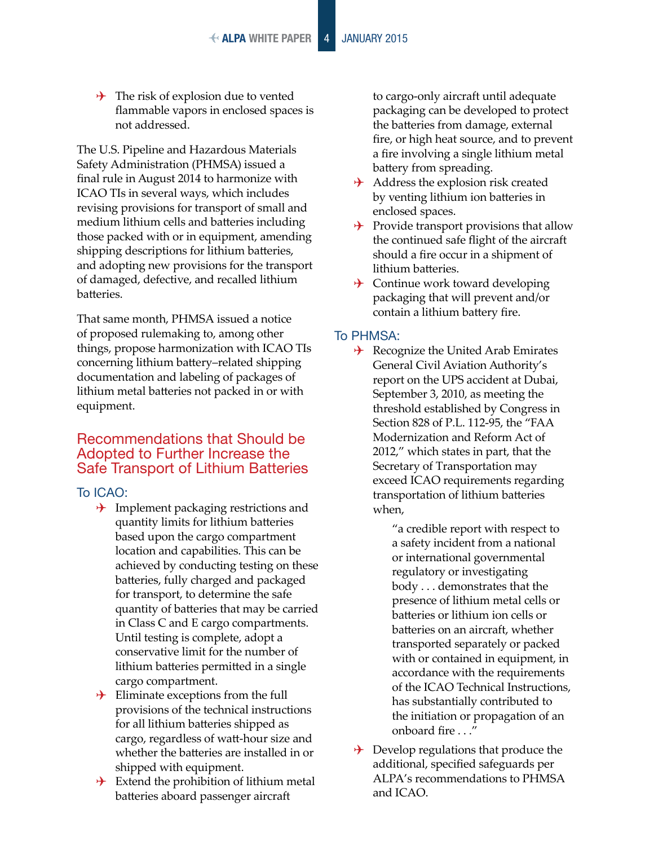$\rightarrow$  The risk of explosion due to vented flammable vapors in enclosed spaces is not addressed.

The U.S. Pipeline and Hazardous Materials Safety Administration (PHMSA) issued a final rule in August 2014 to harmonize with ICAO TIs in several ways, which includes revising provisions for transport of small and medium lithium cells and batteries including those packed with or in equipment, amending shipping descriptions for lithium batteries, and adopting new provisions for the transport of damaged, defective, and recalled lithium batteries.

That same month, PHMSA issued a notice of proposed rulemaking to, among other things, propose harmonization with ICAO TIs concerning lithium battery–related shipping documentation and labeling of packages of lithium metal batteries not packed in or with equipment.

#### Recommendations that Should be Adopted to Further Increase the Safe Transport of Lithium Batteries

To ICAO:

- $\rightarrow$  Implement packaging restrictions and quantity limits for lithium batteries based upon the cargo compartment location and capabilities. This can be achieved by conducting testing on these batteries, fully charged and packaged for transport, to determine the safe quantity of batteries that may be carried in Class C and E cargo compartments. Until testing is complete, adopt a conservative limit for the number of lithium batteries permitted in a single cargo compartment.
- $\rightarrow$  Eliminate exceptions from the full provisions of the technical instructions for all lithium batteries shipped as cargo, regardless of watt-hour size and whether the batteries are installed in or shipped with equipment.
- $\rightarrow$  Extend the prohibition of lithium metal batteries aboard passenger aircraft

to cargo-only aircraft until adequate packaging can be developed to protect the batteries from damage, external fire, or high heat source, and to prevent a fire involving a single lithium metal battery from spreading.

- $\rightarrow$  Address the explosion risk created by venting lithium ion batteries in enclosed spaces.
- $\rightarrow$  Provide transport provisions that allow the continued safe flight of the aircraft should a fire occur in a shipment of lithium batteries.
- $\rightarrow$  Continue work toward developing packaging that will prevent and/or contain a lithium battery fire.

#### To PHMSA:

 $\rightarrow$  Recognize the United Arab Emirates General Civil Aviation Authority's report on the UPS accident at Dubai, September 3, 2010, as meeting the threshold established by Congress in Section 828 of P.L. 112-95, the "FAA Modernization and Reform Act of 2012," which states in part, that the Secretary of Transportation may exceed ICAO requirements regarding transportation of lithium batteries when,

> "a credible report with respect to a safety incident from a national or international governmental regulatory or investigating body . . . demonstrates that the presence of lithium metal cells or batteries or lithium ion cells or batteries on an aircraft, whether transported separately or packed with or contained in equipment, in accordance with the requirements of the ICAO Technical Instructions, has substantially contributed to the initiation or propagation of an onboard fire . . ."

 $\rightarrow$  Develop regulations that produce the additional, specified safeguards per ALPA's recommendations to PHMSA and ICAO.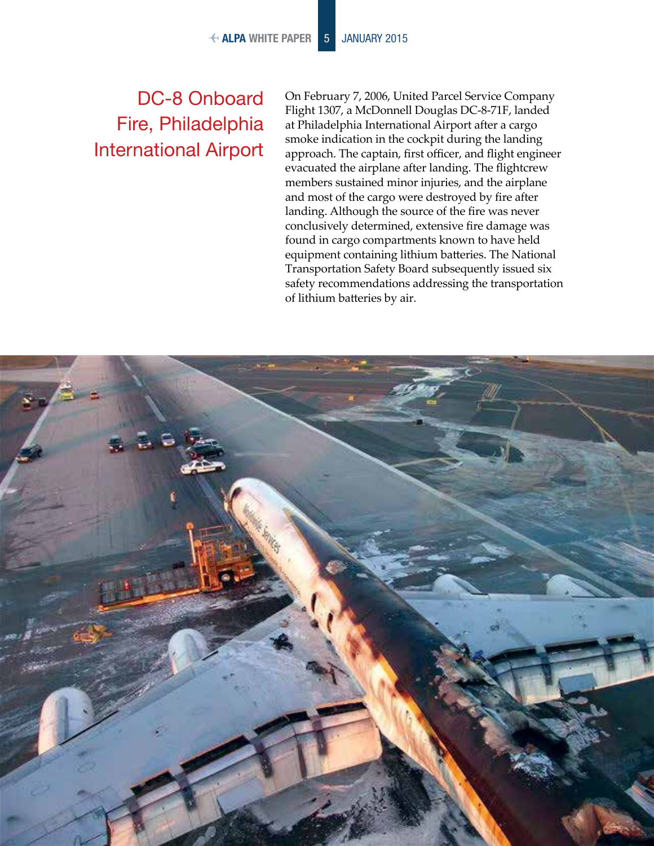#### DC-8 Onboard Fire, Philadelphia International Airport

On February 7, 2006, United Parcel Service Company Flight 1307, a McDonnell Douglas DC-8-71F, landed at Philadelphia International Airport after a cargo smoke indication in the cockpit during the landing approach. The captain, first officer, and flight engineer evacuated the airplane after landing. The flightcrew members sustained minor injuries, and the airplane and most of the cargo were destroyed by fire after landing. Although the source of the fire was never conclusively determined, extensive fire damage was found in cargo compartments known to have held equipment containing lithium batteries. The National Transportation Safety Board subsequently issued six safety recommendations addressing the transportation of lithium batteries by air.